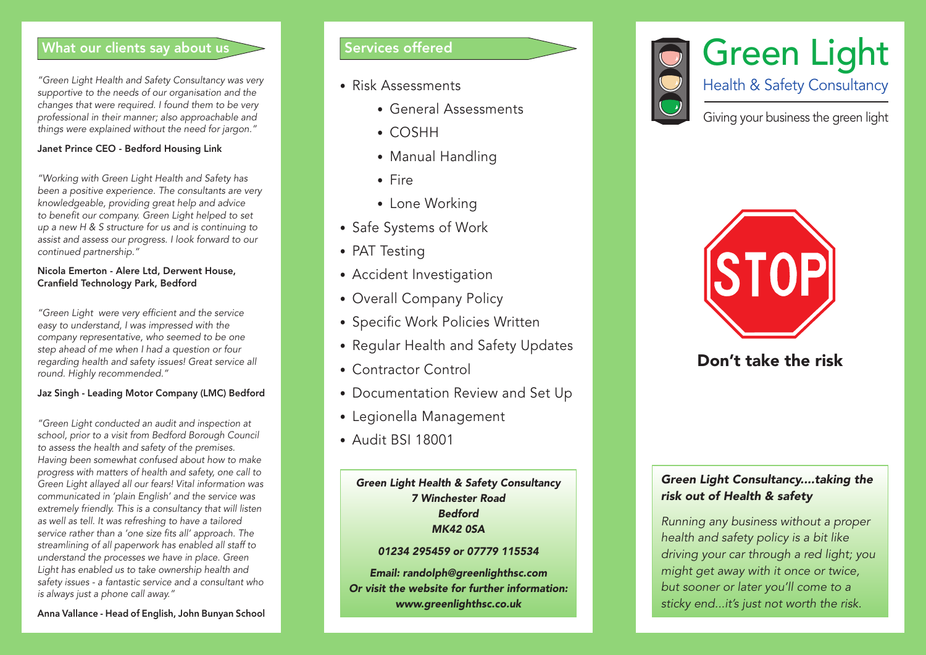### What our clients say about us

"Green Light Health and Safety Consultancy was very supportive to the needs of our organisation and the changes that were required. I found them to be very professional in their manner; also approachable and things were explained without the need for jargon."

### Janet Prince CEO - Bedford Housing Link

"Working with Green Light Health and Safety has been a positive experience. The consultants are very knowledgeable, providing great help and advice to benefit our company. Green Light helped to set up a new H & S structure for us and is continuing to assist and assess our progress. I look forward to our continued partnership."

#### Nicola Emerton - Alere Ltd, Derwent House, Cranfield Technology Park, Bedford

"Green Light were very efficient and the service easy to understand, I was impressed with the company representative, who seemed to be one step ahead of me when I had a question or four regarding health and safety issues! Great service all round. Highly recommended."

### Jaz Singh - Leading Motor Company (LMC) Bedford

"Green Light conducted an audit and inspection at school, prior to a visit from Bedford Borough Council to assess the health and safety of the premises. Having been somewhat confused about how to make progress with matters of health and safety, one call to Green Light allayed all our fears! Vital information was communicated in 'plain English' and the service was extremely friendly. This is a consultancy that will listen as well as tell. It was refreshing to have a tailored service rather than a 'one size fits all' approach. The streamlining of all paperwork has enabled all staff to understand the processes we have in place. Green Light has enabled us to take ownership health and safety issues - a fantastic service and a consultant who is always just a phone call away."

# Services offered

- Risk Assessments
	- General Assessments
	- COSHH
	- Manual Handling
	- Fire
	- Lone Working
- Safe Systems of Work
- PAT Testing
- Accident Investigation
- Overall Company Policy
- Specific Work Policies Written
- Regular Health and Safety Updates
- Contractor Control
- Documentation Review and Set Up
- Legionella Management
- Audit BSI 18001

### Green Light Health & Safety Consultancy 7 Winchester Road Bedford MK42 0SA

### 01234 295459 or 07779 115534

Email: randolph@greenlighthsc.com Or visit the website for further information: www.greenlighthsc.co.uk





# Don't take the risk

## Green Light Consultancy....taking the risk out of Health & safety

Running any business without a proper health and safety policy is a bit like driving your car through a red light; you might get away with it once or twice, but sooner or later you'll come to a sticky end...it's just not worth the risk.

Anna Vallance - Head of English, John Bunyan School